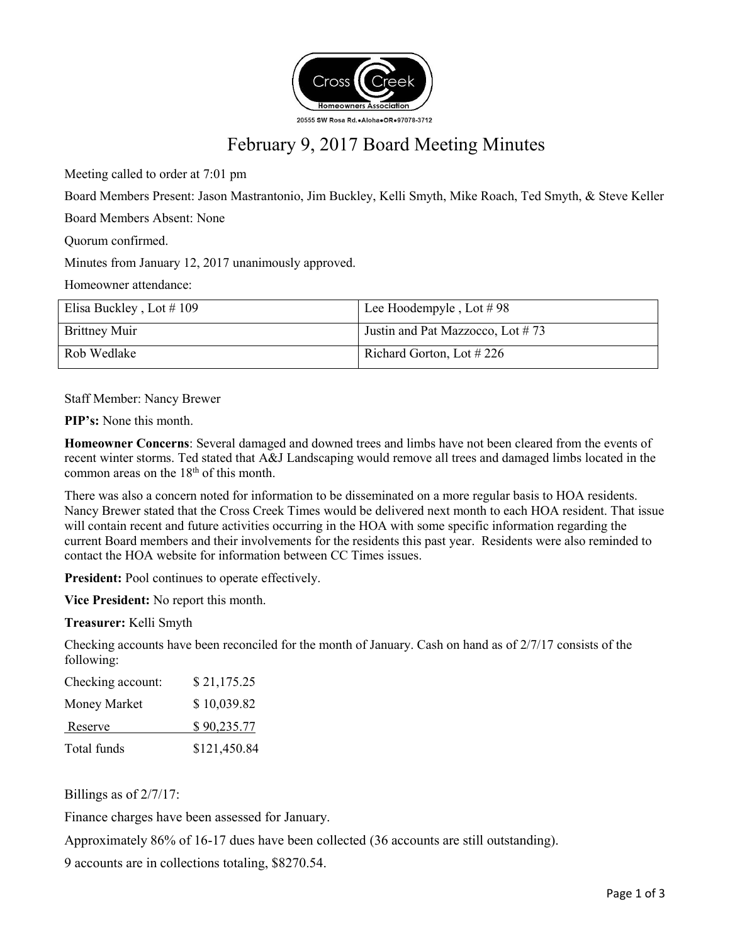

# February 9, 2017 Board Meeting Minutes

Meeting called to order at 7:01 pm

Board Members Present: Jason Mastrantonio, Jim Buckley, Kelli Smyth, Mike Roach, Ted Smyth, & Steve Keller

Board Members Absent: None

Quorum confirmed.

Minutes from January 12, 2017 unanimously approved.

Homeowner attendance:

| Elisa Buckley, Lot $\#$ 109 | Lee Hoodempyle, Lot $\# 98$      |
|-----------------------------|----------------------------------|
| <b>Brittney Muir</b>        | Justin and Pat Mazzocco, Lot #73 |
| Rob Wedlake                 | Richard Gorton, Lot $\#$ 226     |

Staff Member: Nancy Brewer

**PIP's:** None this month.

**Homeowner Concerns**: Several damaged and downed trees and limbs have not been cleared from the events of recent winter storms. Ted stated that A&J Landscaping would remove all trees and damaged limbs located in the common areas on the 18<sup>th</sup> of this month.

There was also a concern noted for information to be disseminated on a more regular basis to HOA residents. Nancy Brewer stated that the Cross Creek Times would be delivered next month to each HOA resident. That issue will contain recent and future activities occurring in the HOA with some specific information regarding the current Board members and their involvements for the residents this past year. Residents were also reminded to contact the HOA website for information between CC Times issues.

**President:** Pool continues to operate effectively.

**Vice President:** No report this month.

**Treasurer:** Kelli Smyth

Checking accounts have been reconciled for the month of January. Cash on hand as of  $2/7/17$  consists of the following:

| Checking account: | \$21,175.25  |
|-------------------|--------------|
| Money Market      | \$10,039.82  |
| Reserve           | \$90,235.77  |
| Total funds       | \$121,450.84 |

Billings as of 2/7/17:

Finance charges have been assessed for January.

Approximately 86% of 16-17 dues have been collected (36 accounts are still outstanding).

9 accounts are in collections totaling, \$8270.54.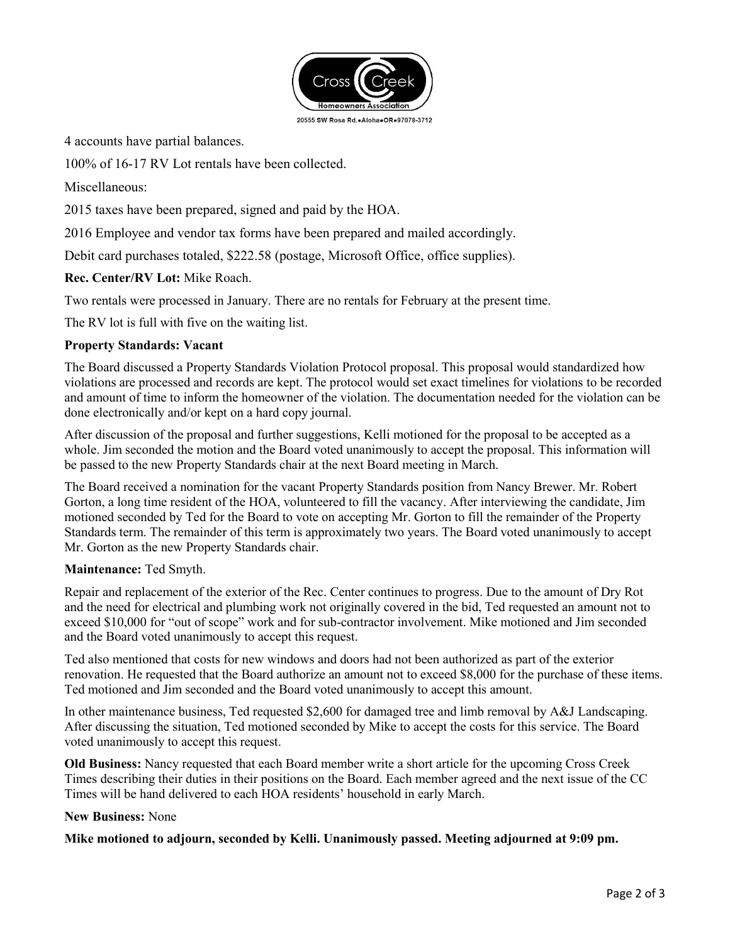

4 accounts have partial balances.

100% of 16-17 RV Lot rentals have been collected.

Miscellaneous:

2015 taxes have been prepared, signed and paid by the HOA.

2016 Employee and vendor tax forms have been prepared and mailed accordingly.

Debit card purchases totaled, \$222.58 (postage, Microsoft Office, office supplies).

**Rec. Center/RV Lot:** Mike Roach.

Two rentals were processed in January. There are no rentals for February at the present time.

The RV lot is full with five on the waiting list.

## **Property Standards: Vacant**

The Board discussed a Property Standards Violation Protocol proposal. This proposal would standardized how violations are processed and records are kept. The protocol would set exact timelines for violations to be recorded and amount of time to inform the homeowner of the violation. The documentation needed for the violation can be done electronically and/or kept on a hard copy journal.

After discussion of the proposal and further suggestions, Kelli motioned for the proposal to be accepted as a whole. Jim seconded the motion and the Board voted unanimously to accept the proposal. This information will be passed to the new Property Standards chair at the next Board meeting in March.

The Board received a nomination for the vacant Property Standards position from Nancy Brewer. Mr. Robert Gorton, a long time resident of the HOA, volunteered to fill the vacancy. After interviewing the candidate, Jim motioned seconded by Ted for the Board to vote on accepting Mr. Gorton to fill the remainder of the Property Standards term. The remainder of this term is approximately two years. The Board voted unanimously to accept Mr. Gorton as the new Property Standards chair.

### **Maintenance:** Ted Smyth.

Repair and replacement of the exterior of the Rec. Center continues to progress. Due to the amount of Dry Rot and the need for electrical and plumbing work not originally covered in the bid, Ted requested an amount not to exceed \$10,000 for "out of scope" work and for sub-contractor involvement. Mike motioned and Jim seconded and the Board voted unanimously to accept this request.

Ted also mentioned that costs for new windows and doors had not been authorized as part of the exterior renovation. He requested that the Board authorize an amount not to exceed \$8,000 for the purchase of these items. Ted motioned and Jim seconded and the Board voted unanimously to accept this amount.

In other maintenance business, Ted requested \$2,600 for damaged tree and limb removal by A&J Landscaping. After discussing the situation, Ted motioned seconded by Mike to accept the costs for this service. The Board voted unanimously to accept this request.

**Old Business:** Nancy requested that each Board member write a short article for the upcoming Cross Creek Times describing their duties in their positions on the Board. Each member agreed and the next issue of the CC Times will be hand delivered to each HOA residents' household in early March.

### **New Business:** None

### **Mike motioned to adjourn, seconded by Kelli. Unanimously passed. Meeting adjourned at 9:09 pm.**